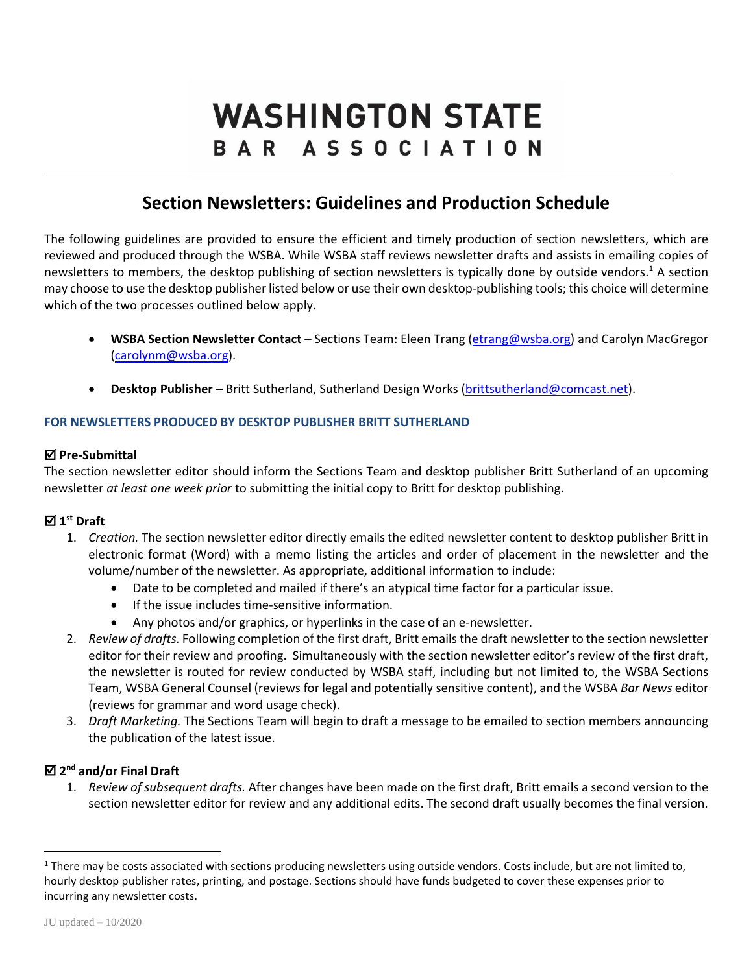# **WASHINGTON STATE** BAR ASSOCIATION

# **Section Newsletters: Guidelines and Production Schedule**

The following guidelines are provided to ensure the efficient and timely production of section newsletters, which are reviewed and produced through the WSBA. While WSBA staff reviews newsletter drafts and assists in emailing copies of newsletters to members, the desktop publishing of section newsletters is typically done by outside vendors.<sup>1</sup> A section may choose to use the desktop publisher listed below or use their own desktop-publishing tools; this choice will determine which of the two processes outlined below apply.

- **WSBA Section Newsletter Contact** Sections Team: Eleen Trang [\(etrang@wsba.org\)](mailto:etrang@wsba.org) and Carolyn MacGregor [\(carolynm@wsba.org\)](mailto:carolynm@wsba.org).
- **Desktop Publisher** Britt Sutherland, Sutherland Design Works [\(brittsutherland@comcast.net\)](mailto:brittsutherland@comcast.net).

#### **FOR NEWSLETTERS PRODUCED BY DESKTOP PUBLISHER BRITT SUTHERLAND**

#### **Pre-Submittal**

The section newsletter editor should inform the Sections Team and desktop publisher Britt Sutherland of an upcoming newsletter *at least one week prior* to submitting the initial copy to Britt for desktop publishing.

## **1 st Draft**

- 1. *Creation.* The section newsletter editor directly emails the edited newsletter content to desktop publisher Britt in electronic format (Word) with a memo listing the articles and order of placement in the newsletter and the volume/number of the newsletter. As appropriate, additional information to include:
	- Date to be completed and mailed if there's an atypical time factor for a particular issue.
	- **•** If the issue includes time-sensitive information.
	- Any photos and/or graphics, or hyperlinks in the case of an e-newsletter.
- 2. *Review of drafts.* Following completion of the first draft, Britt emails the draft newsletter to the section newsletter editor for their review and proofing. Simultaneously with the section newsletter editor's review of the first draft, the newsletter is routed for review conducted by WSBA staff, including but not limited to, the WSBA Sections Team, WSBA General Counsel (reviews for legal and potentially sensitive content), and the WSBA *Bar News* editor (reviews for grammar and word usage check).
- 3. *Draft Marketing.* The Sections Team will begin to draft a message to be emailed to section members announcing the publication of the latest issue.

#### **2 nd and/or Final Draft**

1. *Review of subsequent drafts.* After changes have been made on the first draft, Britt emails a second version to the section newsletter editor for review and any additional edits. The second draft usually becomes the final version.

 $\overline{a}$ 

<sup>&</sup>lt;sup>1</sup> There may be costs associated with sections producing newsletters using outside vendors. Costs include, but are not limited to, hourly desktop publisher rates, printing, and postage. Sections should have funds budgeted to cover these expenses prior to incurring any newsletter costs.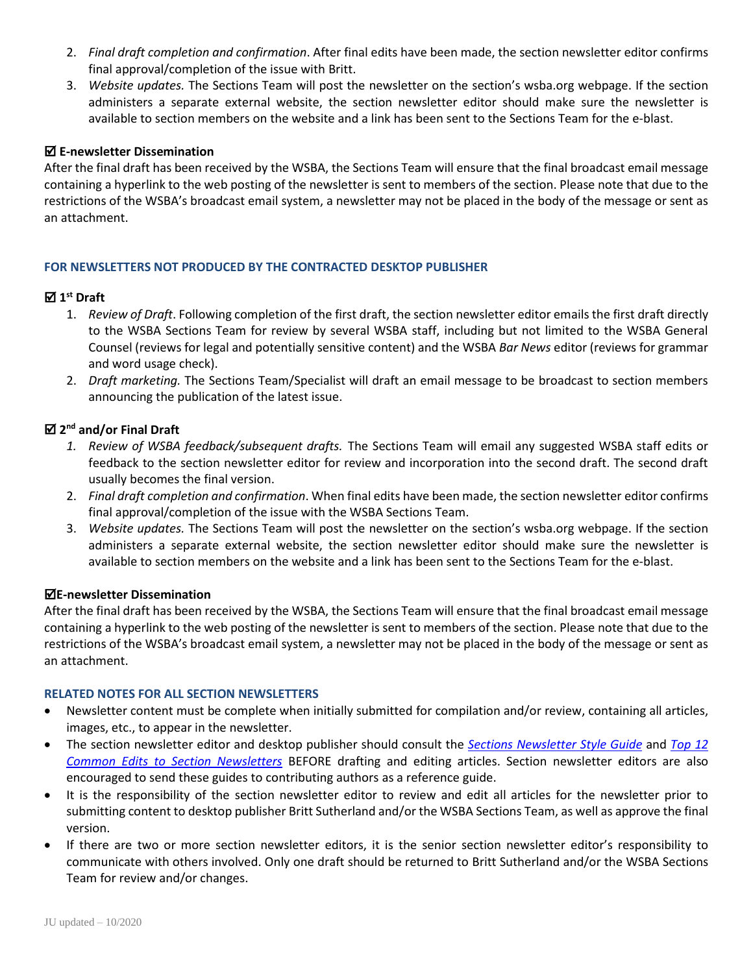- 2. *Final draft completion and confirmation*. After final edits have been made, the section newsletter editor confirms final approval/completion of the issue with Britt.
- 3. *Website updates.* The Sections Team will post the newsletter on the section's wsba.org webpage. If the section administers a separate external website, the section newsletter editor should make sure the newsletter is available to section members on the website and a link has been sent to the Sections Team for the e-blast.

#### **E-newsletter Dissemination**

After the final draft has been received by the WSBA, the Sections Team will ensure that the final broadcast email message containing a hyperlink to the web posting of the newsletter is sent to members of the section. Please note that due to the restrictions of the WSBA's broadcast email system, a newsletter may not be placed in the body of the message or sent as an attachment.

#### **FOR NEWSLETTERS NOT PRODUCED BY THE CONTRACTED DESKTOP PUBLISHER**

### **1 st Draft**

- 1. *Review of Draft*. Following completion of the first draft, the section newsletter editor emails the first draft directly to the WSBA Sections Team for review by several WSBA staff, including but not limited to the WSBA General Counsel (reviews for legal and potentially sensitive content) and the WSBA *Bar News* editor (reviews for grammar and word usage check).
- 2. *Draft marketing.* The Sections Team/Specialist will draft an email message to be broadcast to section members announcing the publication of the latest issue.

#### **2 nd and/or Final Draft**

- *1. Review of WSBA feedback/subsequent drafts.* The Sections Team will email any suggested WSBA staff edits or feedback to the section newsletter editor for review and incorporation into the second draft. The second draft usually becomes the final version.
- 2. *Final draft completion and confirmation*. When final edits have been made, the section newsletter editor confirms final approval/completion of the issue with the WSBA Sections Team.
- 3. *Website updates.* The Sections Team will post the newsletter on the section's wsba.org webpage. If the section administers a separate external website, the section newsletter editor should make sure the newsletter is available to section members on the website and a link has been sent to the Sections Team for the e-blast.

#### **E-newsletter Dissemination**

After the final draft has been received by the WSBA, the Sections Team will ensure that the final broadcast email message containing a hyperlink to the web posting of the newsletter is sent to members of the section. Please note that due to the restrictions of the WSBA's broadcast email system, a newsletter may not be placed in the body of the message or sent as an attachment.

#### **RELATED NOTES FOR ALL SECTION NEWSLETTERS**

- Newsletter content must be complete when initially submitted for compilation and/or review, containing all articles, images, etc., to appear in the newsletter.
- The section newsletter editor and desktop publisher should consult the *Sections Newsletter [Style Guide](https://www.wsba.org/docs/default-source/legal-community/sections/sections-leaders-toolbox/sections-newsletter-style-guide_final.pdf?sfvrsn=4d1408f1_0)* and *[Top 12](https://www.wsba.org/docs/default-source/legal-community/sections/sections-leaders-toolbox/toolbox_comm_top_12_most_common_edits_to_section_newsletters.pdf?sfvrsn=892b3df1_6)  [Common Edits to Section Newsletters](https://www.wsba.org/docs/default-source/legal-community/sections/sections-leaders-toolbox/toolbox_comm_top_12_most_common_edits_to_section_newsletters.pdf?sfvrsn=892b3df1_6)* BEFORE drafting and editing articles. Section newsletter editors are also encouraged to send these guides to contributing authors as a reference guide.
- It is the responsibility of the section newsletter editor to review and edit all articles for the newsletter prior to submitting content to desktop publisher Britt Sutherland and/or the WSBA Sections Team, as well as approve the final version.
- If there are two or more section newsletter editors, it is the senior section newsletter editor's responsibility to communicate with others involved. Only one draft should be returned to Britt Sutherland and/or the WSBA Sections Team for review and/or changes.